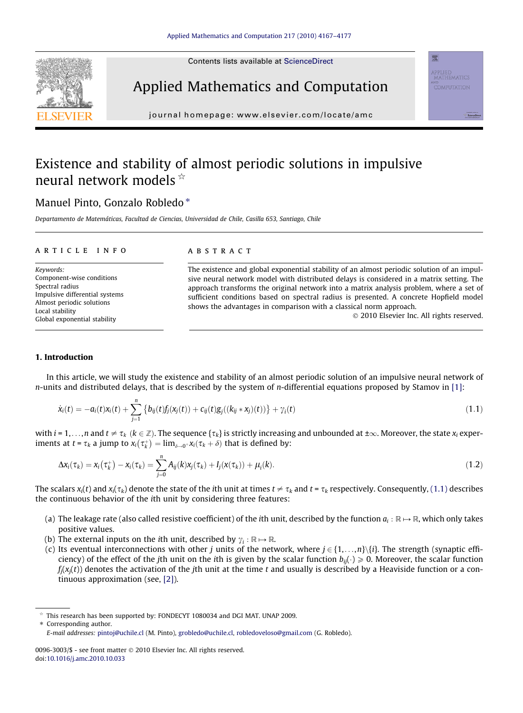Contents lists available at [ScienceDirect](http://www.sciencedirect.com/science/journal/00963003)

<span id="page-0-0"></span>



journal homepage: [www.elsevier.com/locate/amc](http://www.elsevier.com/locate/amc)

# Existence and stability of almost periodic solutions in impulsive neural network models  $\hat{z}$

## Manuel Pinto, Gonzalo Robledo<sup>\*</sup>

Departamento de Matemáticas, Facultad de Ciencias, Universidad de Chile, Casilla 653, Santiago, Chile

#### article info

Keywords: Component-wise conditions Spectral radius Impulsive differential systems Almost periodic solutions Local stability Global exponential stability

## **ABSTRACT**

The existence and global exponential stability of an almost periodic solution of an impulsive neural network model with distributed delays is considered in a matrix setting. The approach transforms the original network into a matrix analysis problem, where a set of sufficient conditions based on spectral radius is presented. A concrete Hopfield model shows the advantages in comparison with a classical norm approach.

- 2010 Elsevier Inc. All rights reserved.

applied<br>mathematics

#### 1. Introduction

In this article, we will study the existence and stability of an almost periodic solution of an impulsive neural network of  $n$ -units and distributed delays, that is described by the system of  $n$ -differential equations proposed by Stamov in [\[1\]](#page-10-0):

$$
\dot{x}_i(t) = -a_i(t)x_i(t) + \sum_{j=1}^n \left\{ b_{ij}(t)f_j(x_j(t)) + c_{ij}(t)g_j((k_{ij} * x_j)(t)) \right\} + \gamma_i(t)
$$
\n(1.1)

with  $i = 1, \ldots, n$  and  $t \neq \tau_k$  ( $k \in \mathbb{Z}$ ). The sequence { $\tau_k$ } is strictly increasing and unbounded at  $\pm \infty$ . Moreover, the state  $x_i$  experiments at  $t = \tau_k$  a jump to  $x_i(\tau_k^+) = \lim_{\delta \to 0^+} x_i(\tau_k + \delta)$  that is defined by:

$$
\Delta x_i(\tau_k) = x_i(\tau_k^+) - x_i(\tau_k) = \sum_{j=0}^n A_{ij}(k)x_j(\tau_k) + I_j(x(\tau_k)) + \mu_i(k).
$$
\n(1.2)

The scalars  $x_i(t)$  and  $x_i(\tau_k)$  denote the state of the ith unit at times  $t \neq \tau_k$  and  $t = \tau_k$  respectively. Consequently, (1.1) describes the continuous behavior of the ith unit by considering three features:

- (a) The leakage rate (also called resistive coefficient) of the ith unit, described by the function  $a_i : \mathbb{R} \mapsto \mathbb{R}$ , which only takes positive values.
- (b) The external inputs on the *i*th unit, described by  $\gamma_i : \mathbb{R} \mapsto \mathbb{R}$ .
- (c) Its eventual interconnections with other j units of the network, where  $j \in \{1, \ldots, n\}$ . The strength (synaptic efficiency) of the effect of the jth unit on the ith is given by the scalar function  $b_{ij}(\cdot) \ge 0$ . Moreover, the scalar function  $f_i(x_i(t))$  denotes the activation of the jth unit at the time t and usually is described by a Heaviside function or a continuous approximation (see, [\[2\]\)](#page-10-0).

 $*$  This research has been supported by: FONDECYT 1080034 and DGI MAT. UNAP 2009.

<sup>⇑</sup> Corresponding author. E-mail addresses: [pintoj@uchile.cl](mailto:pintoj@uchile.cl) (M. Pinto), [grobledo@uchile.cl,](mailto:grobledo@uchile.cl) [robledoveloso@gmail.com](mailto:robledoveloso@gmail.com) (G. Robledo).

<sup>0096-3003/\$ -</sup> see front matter © 2010 Elsevier Inc. All rights reserved. doi:[10.1016/j.amc.2010.10.033](http://dx.doi.org/10.1016/j.amc.2010.10.033)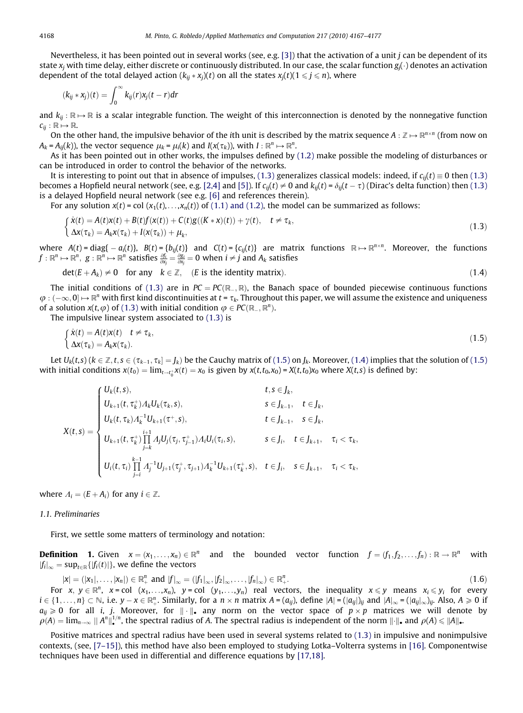<span id="page-1-0"></span>Nevertheless, it has been pointed out in several works (see, e.g. [\[3\]\)](#page-10-0) that the activation of a unit  $j$  can be dependent of its state  $x_i$  with time delay, either discrete or continuously distributed. In our case, the scalar function  $g_i(\cdot)$  denotes an activation dependent of the total delayed action  $(k_{ij} * x_j)(t)$  on all the states  $x_i(t)$  ( $1 \leq j \leq n$ ), where

$$
(k_{ij} * x_j)(t) = \int_0^\infty k_{ij}(r)x_j(t-r)dr
$$

and  $k_{ii}$ :  $\mathbb{R} \mapsto \mathbb{R}$  is a scalar integrable function. The weight of this interconnection is denoted by the nonnegative function  $c_{ii}: \mathbb{R} \mapsto \mathbb{R}$ .

On the other hand, the impulsive behavior of the ith unit is described by the matrix sequence  $A : \mathbb{Z} \mapsto \mathbb{R}^{n \times n}$  (from now on  $A_k = A_{ii}(k)$ , the vector sequence  $\mu_k = \mu_i(k)$  and  $I(x(\tau_k))$ , with  $I : \mathbb{R}^n \rightarrow \mathbb{R}^n$ .

As it has been pointed out in other works, the impulses defined by [\(1.2\)](#page-0-0) make possible the modeling of disturbances or can be introduced in order to control the behavior of the networks.

It is interesting to point out that in absence of impulses, (1.3) generalizes classical models: indeed, if  $c_{ij}(t) \equiv 0$  then (1.3) becomes a Hopfield neural network (see, e.g. [\[2,4\]](#page-10-0) and [\[5\]\)](#page-10-0). If  $c_{ij}(t) \neq 0$  and  $k_{ij}(t) = \delta_{ij}(t-\tau)$  (Dirac's delta function) then (1.3) is a delayed Hopfield neural network (see e.g. [\[6\]](#page-10-0) and references therein).

For any solution  $x(t) = \text{col}(x_1(t),...,x_n(t))$  of [\(1.1\) and \(1.2\)](#page-0-0), the model can be summarized as follows:

$$
\begin{cases}\n\dot{x}(t) = A(t)x(t) + B(t)f(x(t)) + C(t)g((K * x)(t)) + \gamma(t), \quad t \neq \tau_k, \\
\Delta x(\tau_k) = A_k x(\tau_k) + I(x(\tau_k)) + \mu_k,\n\end{cases}
$$
\n(1.3)

where  $A(t)$  = diag{  $-a_i(t)$ },  $B(t)$  = {b<sub>ij</sub>(t)} and  $C(t)$  = {c<sub>ij</sub>(t)} are matrix functions  $\mathbb{R} \mapsto \mathbb{R}^{n \times n}$ . Moreover, the functions  $f:\mathbb{R}^n\mapsto\mathbb{R}^n,~g:\mathbb{R}^n\mapsto\mathbb{R}^n$  satisfies  $\frac{\partial f_i}{\partial x_j}=\frac{\partial g_i}{\partial x_j}=0$  when  $i\neq j$  and  $A_k$  satisfies

$$
\det(E + A_k) \neq 0 \quad \text{for any} \quad k \in \mathbb{Z}, \quad (E \text{ is the identity matrix}). \tag{1.4}
$$

The initial conditions of (1.3) are in  $PC = PC(\mathbb{R}_+, \mathbb{R})$ , the Banach space of bounded piecewise continuous functions  $\varphi:(-\infty,0]\mapsto\mathbb{R}^n$  with first kind discontinuities at  $t$  =  $\tau_k.$  Throughout this paper, we will assume the existence and uniqueness of a solution  $x(t, \varphi)$  of (1.3) with initial condition  $\varphi \in PC(\mathbb{R}_-, \mathbb{R}^n)$ .

The impulsive linear system associated to (1.3) is

$$
\begin{cases}\n\dot{x}(t) = A(t)x(t) & t \neq \tau_k, \\
\Delta x(\tau_k) = A_k x(\tau_k).\n\end{cases}
$$
\n(1.5)

Let  $U_k(t,s)$   $(k\in \mathbb{Z},t,s\in (\tau_{k-1},\tau_k]=J_k)$  be the Cauchy matrix of  $(1.5)$  on  $J_k$ . Moreover,  $(1.4)$  implies that the solution of  $(1.5)$ with initial conditions  $x(t_0) = \lim_{t \to t_0^+} x(t) = x_0$  is given by  $x(t,t_0,x_0) = X(t,t_0)x_0$  where  $X(t,s)$  is defined by:

$$
X(t,s) = \begin{cases} U_k(t,s), & t,s \in J_k, \\ U_{k+1}(t,\tau_k^+) \Lambda_k U_k(\tau_k,s), & s \in J_{k-1}, t \in J_k, \\ U_k(t,\tau_k) \Lambda_k^{-1} U_{k+1}(\tau^+,s), & t \in J_{k-1}, s \in J_k, \\ U_{k+1}(t,\tau_k^+) \prod_{j=k}^{i+1} A_j U_j(\tau_j,\tau_{j-1}^+) \Lambda_i U_i(\tau_i,s), & s \in J_i, t \in J_{k+1}, \tau_i < \tau_k, \\ U_i(t,\tau_i) \prod_{j=i}^{k-1} A_j^{-1} U_{j+1}(\tau_j^+, \tau_{j+1}) \Lambda_k^{-1} U_{k+1}(\tau_k^+,s), & t \in J_i, s \in J_{k+1}, \tau_i < \tau_k, \end{cases}
$$

where  $A_i = (E + A_i)$  for any  $i \in \mathbb{Z}$ .

#### 1.1. Preliminaries

First, we settle some matters of terminology and notation:

**Definition 1.** Given  $x = (x_1, \ldots, x_n) \in \mathbb{R}^n$  and the bounded vector function  $f = (f_1, f_2, \ldots, f_n) : \mathbb{R} \to \mathbb{R}^n$  with  $|f_i|_{\infty} = \sup_{t \in \mathbb{R}} \{ |f_i(t)| \}$ , we define the vectors

$$
|x| = (|x_1|, \ldots, |x_n|) \in \mathbb{R}_+^n
$$
 and  $|f|_{\infty} = (|f_1|_{\infty}, |f_2|_{\infty}, \ldots, |f_n|_{\infty}) \in \mathbb{R}_+^n$ . (1.6)  
\nFor  $x, y \in \mathbb{R}^n$ ,  $x = \text{col } (x_1, \ldots, x_n)$ ,  $y = \text{col } (y_1, \ldots, y_n)$  real vectors, the inequality  $x \le y$  means  $x_i \le y_i$  for every  $i \in \{1, \ldots, n\} \subset \mathbb{N}$ , i.e.  $y - x \in \mathbb{R}_+^n$ . Similarly, for a  $n \times n$  matrix  $A = (a_{ij})$ , define  $|A| = (|a_{ij}|)_{ij}$  and  $|A|_{\infty} = (|a_{ij}|_{\infty})_{ij}$ . Also,  $A \ge 0$  if  $a_{ij} \ge 0$  for all  $i, j$ . Moreover, for  $\|\cdot\|_{\bullet}$  any norm on the vector space of  $p \times p$  matrices we will denote by  $\rho(A) = \lim_{n \to \infty} \|A^n\|_{\bullet}^{1/n}$ , the spectral radius of  $A$ . The spectral radius is independent of the norm  $\|\cdot\|_{\bullet}$  and  $\rho(A) \le \|A\|_{\bullet}$ .

Positive matrices and spectral radius have been used in several systems related to (1.3) in impulsive and nonimpulsive contexts, (see, [\[7–15\]\)](#page-10-0), this method have also been employed to studying Lotka–Volterra systems in [\[16\].](#page-10-0) Componentwise techniques have been used in differential and difference equations by [\[17,18\].](#page-10-0)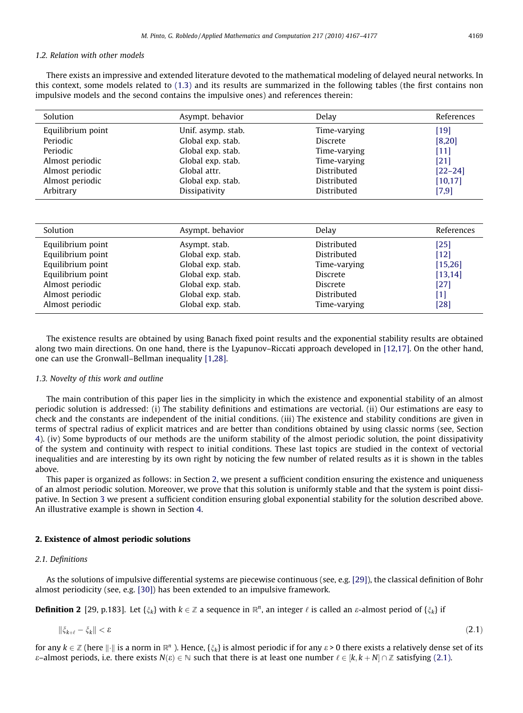### 1.2. Relation with other models

There exists an impressive and extended literature devoted to the mathematical modeling of delayed neural networks. In this context, some models related to [\(1.3\)](#page-1-0) and its results are summarized in the following tables (the first contains non impulsive models and the second contains the impulsive ones) and references therein:

| Solution          | Asympt. behavior   | Delav           | References  |
|-------------------|--------------------|-----------------|-------------|
| Equilibrium point | Unif. asymp. stab. | Time-varying    | $[19]$      |
| Periodic          | Global exp. stab.  | <b>Discrete</b> | [8,20]      |
| Periodic          | Global exp. stab.  | Time-varying    | $[11]$      |
| Almost periodic   | Global exp. stab.  | Time-varying    | [21]        |
| Almost periodic   | Global attr.       | Distributed     | $[22 - 24]$ |
| Almost periodic   | Global exp. stab.  | Distributed     | [10, 17]    |
| Arbitrary         | Dissipativity      | Distributed     | [7,9]       |

| Asympt. behavior  | Delay           | References |
|-------------------|-----------------|------------|
| Asympt. stab.     | Distributed     | $[25]$     |
| Global exp. stab. | Distributed     | $[12]$     |
| Global exp. stab. | Time-varying    | [15,26]    |
| Global exp. stab. | <b>Discrete</b> | [13, 14]   |
| Global exp. stab. | <b>Discrete</b> | $[27]$     |
| Global exp. stab. | Distributed     | [1]        |
| Global exp. stab. | Time-varying    | $[28]$     |
|                   |                 |            |

The existence results are obtained by using Banach fixed point results and the exponential stability results are obtained along two main directions. On one hand, there is the Lyapunov–Riccati approach developed in [\[12,17\]](#page-10-0). On the other hand, one can use the Gronwall–Bellman inequality [\[1,28\]](#page-10-0).

#### 1.3. Novelty of this work and outline

The main contribution of this paper lies in the simplicity in which the existence and exponential stability of an almost periodic solution is addressed: (i) The stability definitions and estimations are vectorial. (ii) Our estimations are easy to check and the constants are independent of the initial conditions. (iii) The existence and stability conditions are given in terms of spectral radius of explicit matrices and are better than conditions obtained by using classic norms (see, Section 4). (iv) Some byproducts of our methods are the uniform stability of the almost periodic solution, the point dissipativity of the system and continuity with respect to initial conditions. These last topics are studied in the context of vectorial inequalities and are interesting by its own right by noticing the few number of related results as it is shown in the tables above.

This paper is organized as follows: in Section 2, we present a sufficient condition ensuring the existence and uniqueness of an almost periodic solution. Moreover, we prove that this solution is uniformly stable and that the system is point dissipative. In Section 3 we present a sufficient condition ensuring global exponential stability for the solution described above. An illustrative example is shown in Section 4.

#### 2. Existence of almost periodic solutions

#### 2.1. Definitions

As the solutions of impulsive differential systems are piecewise continuous (see, e.g. [\[29\]\)](#page-10-0), the classical definition of Bohr almost periodicity (see, e.g. [\[30\]\)](#page-10-0) has been extended to an impulsive framework.

**Definition 2** [29, p.183]. Let { $\xi_k$ } with  $k \in \mathbb{Z}$  a sequence in  $\mathbb{R}^n$ , an integer  $\ell$  is called an  $\epsilon$ -almost period of { $\xi_k$ } if

$$
\|\xi_{k+\ell}-\xi_k\|<\varepsilon\tag{2.1}
$$

for any  $k \in \mathbb{Z}$  (here  $\|\cdot\|$  is a norm in  $\mathbb{R}^n$ ). Hence,  $\{\zeta_k\}$  is almost periodic if for any  $\varepsilon > 0$  there exists a relatively dense set of its e–almost periods, i.e. there exists  $N(\varepsilon) \in \mathbb{N}$  such that there is at least one number  $\ell \in [k, k + N] \cap \mathbb{Z}$  satisfying (2.1).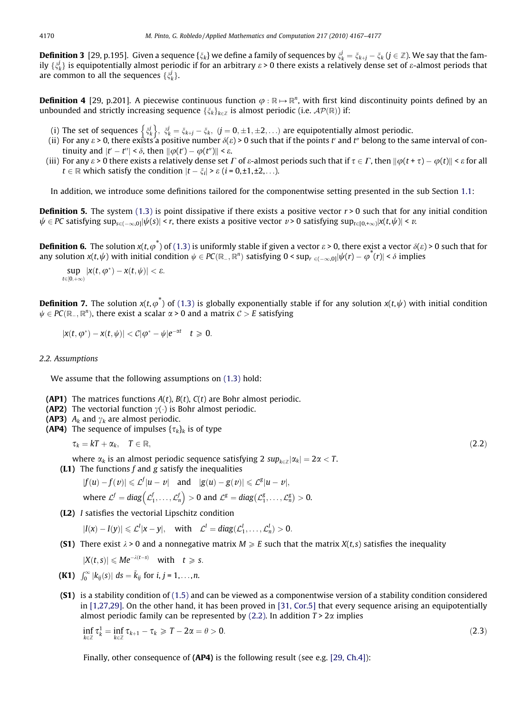**Definition 3** [29, p.195]. Given a sequence { $\xi_k$ } we define a family of sequences by  $\zeta^j_k = \xi_{k+j}-\xi_k$  ( $j\in\mathbb{Z}$ ). We say that the family  $\{\xi^j_k\}$  is equipotentially almost periodic if for an arbitrary  $\varepsilon$  > 0 there exists a relatively dense set of  $\varepsilon$ -almost periods that are common to all the sequences  $\{\xi^j_k\}.$ 

**Definition 4** [29, p.201]. A piecewise continuous function  $\varphi : \mathbb{R} \to \mathbb{R}^n$ , with first kind discontinuity points defined by an unbounded and strictly increasing sequence  $\{\zeta_k\}_{k\in\mathbb{Z}}$  is almost periodic (i.e.  $\mathcal{AP}(\mathbb{R})$ ) if:

- (i) The set of sequences  $\left\{ \zeta^j_k \right\}$ ,  $\zeta^j_k = \zeta_{k+j} \zeta_k$ ,  $(j=0,\pm 1,\pm 2,\ldots)$  are equipotentially almost periodic.
- (ii) For any  $\varepsilon$  > 0, there exists a positive number  $\delta(\varepsilon)$  > 0 such that if the points t' and t'' belong to the same interval of continuity and  $|t'-t''| < \delta$ , then  $\|\varphi(t') - \varphi(t'')\| < \varepsilon$ .
- (iii) For any  $\varepsilon$  > 0 there exists a relatively dense set  $\varGamma$  of  $\varepsilon$ -almost periods such that if  $\tau\in\varGamma$ , then  $\|\varphi(t+\tau)-\varphi(t)\|$  <  $\varepsilon$  for all  $t \in \mathbb{R}$  which satisfy the condition  $|t - \xi_i| > \varepsilon$   $(i = 0, \pm 1, \pm 2, \ldots)$ .

In addition, we introduce some definitions tailored for the componentwise setting presented in the sub Section 1.1:

**Definition 5.** The system [\(1.3\)](#page-1-0) is point dissipative if there exists a positive vector  $r > 0$  such that for any initial condition  $\psi\in P$ C satisfying sup $_{\mathsf{s}\in(-\infty,0]}|\psi(s)|$  <  $r,$  there exists a positive vector  $v$  > 0 satisfying sup $_{t\in[0,+\infty)}$ |x(t, $\psi|$  <  $v.$ 

**Definition 6.** The solution  $x(t, \varphi^*)$  of [\(1.3\)](#page-1-0) is uniformly stable if given a vector  $\varepsilon > 0$ , there exist a vector  $\delta(\varepsilon) > 0$  such that for any solution  $x(t,\psi)$  with initial condition  $\psi\in PC(\R_-,\R^n)$  satisfying  $0<\sup_{r\in (-\infty,0]}|\psi(r)-\varphi^*(r)|<\delta$  implies

$$
\sup_{t\in[0,+\infty)}|x(t,\phi^*)-x(t,\psi)|<\epsilon.
$$

**Definition 7.** The solution  $x(t, \varphi)$  of [\(1.3\)](#page-1-0) is globally exponentially stable if for any solution  $x(t, \psi)$  with initial condition  $\psi \in PC(\mathbb{R}_-, \mathbb{R}^n)$ , there exist a scalar  $\alpha > 0$  and a matrix  $\mathcal{C} > E$  satisfying

$$
|x(t,\varphi^*)-x(t,\psi)|<\mathcal{C}|\varphi^*-\psi|e^{-\alpha t}\quad t\geq 0.
$$

#### 2.2. Assumptions

We assume that the following assumptions on  $(1.3)$  hold:

- **(AP1)** The matrices functions  $A(t)$ ,  $B(t)$ ,  $C(t)$  are Bohr almost periodic.
- (AP2) The vectorial function  $\gamma(\cdot)$  is Bohr almost periodic.
- (AP3)  $A_k$  and  $\gamma_k$  are almost periodic.
- (AP4) The sequence of impulses  $\{\tau_k\}_k$  is of type

 $\tau_k = kT + \alpha_k, \quad T \in \mathbb{R}$ ; (2.2)

where  $\alpha_k$  is an almost periodic sequence satisfying 2  $sup_{k \in \mathbb{Z}} |\alpha_k| = 2\alpha < T$ .

(L1) The functions  $f$  and  $g$  satisfy the inequalities

$$
|f(u) - f(v)| \leq \mathcal{L}^f |u - v| \quad \text{and} \quad |g(u) - g(v)| \leq \mathcal{L}^g |u - v|,
$$
  
where 
$$
\mathcal{L}^f = \text{diag}(\mathcal{L}_1^f, \dots, \mathcal{L}_n^f) > 0 \text{ and } \mathcal{L}^g = \text{diag}(\mathcal{L}_1^g, \dots, \mathcal{L}_n^g) > 0.
$$

(L2) I satisfies the vectorial Lipschitz condition

 $|I(x) - I(y)| \leq \mathcal{L}^l |x - y|$ , with  $\mathcal{L}^l = diag(\mathcal{L}_1^l, \dots, \mathcal{L}_n^l) > 0$ .

(S1) There exist  $\lambda > 0$  and a nonnegative matrix  $M \ge E$  such that the matrix  $X(t, s)$  satisfies the inequality

$$
|X(t,s)| \leqslant Me^{-\lambda(t-s)} \quad \text{with} \quad t \geqslant s.
$$

- **(K1)**  $\int_0^\infty |k_{ij}(s)| \, ds = \tilde{k}_{ij}$  for  $i, j = 1, ..., n$ .
- (S1) is a stability condition of [\(1.5\)](#page-1-0) and can be viewed as a componentwise version of a stability condition considered in [\[1,27,29\]](#page-10-0). On the other hand, it has been proved in [\[31, Cor.5\]](#page-10-0) that every sequence arising an equipotentially almost periodic family can be represented by (2.2). In addition  $T > 2\alpha$  implies

$$
\inf_{k\in\mathbb{Z}}\tau_k^1=\inf_{k\in\mathbb{Z}}\tau_{k+1}-\tau_k\geqslant T-2\alpha=\theta>0.\tag{2.3}
$$

Finally, other consequence of  $AP4$ ) is the following result (see e.g. [\[29, Ch.4\]\)](#page-10-0):

<span id="page-3-0"></span>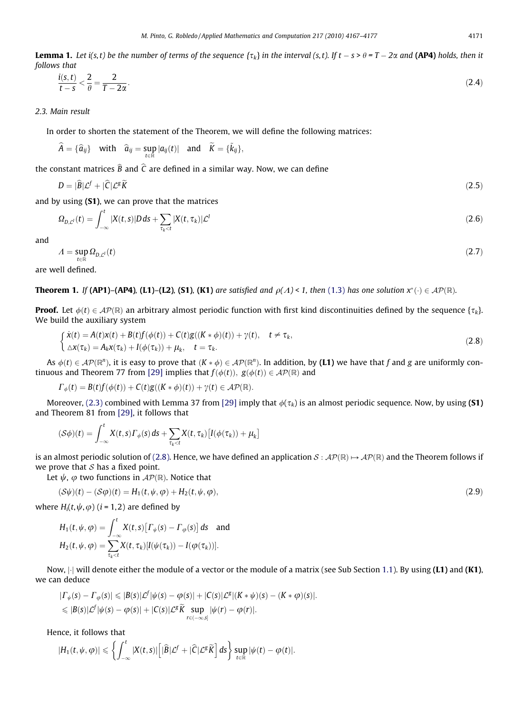<span id="page-4-0"></span>**Lemma 1.** Let i(s, t) be the number of terms of the sequence { $\tau_k$ } in the interval (s, t). If  $t-s$  >  $\theta$  = T  $-$  2 $\alpha$  and **(AP4)** holds, then it follows that

$$
\frac{i(s,t)}{t-s} < \frac{2}{\theta} = \frac{2}{T-2\alpha}.\tag{2.4}
$$

2.3. Main result

In order to shorten the statement of the Theorem, we will define the following matrices:

$$
\widehat{A} = \{\widehat{a}_{ij}\} \quad \text{with} \quad \widehat{a}_{ij} = \sup_{t \in \mathbb{R}} |a_{ij}(t)| \quad \text{and} \quad \widetilde{K} = \{\widetilde{k}_{ij}\},
$$

the constant matrices  $\overline{B}$  and C are defined in a similar way. Now, we can define

$$
D = |\widehat{B}|\mathcal{L}^f + |\widehat{C}|\mathcal{L}^g\widetilde{K}
$$
\n(2.5)

and by using (S1), we can prove that the matrices

$$
\Omega_{D,\mathcal{L}^l}(t) = \int_{-\infty}^t |X(t,s)|D\,ds + \sum_{\tau_k < t} |X(t,\tau_k)|\mathcal{L}^l \tag{2.6}
$$

and

$$
A = \sup_{t \in \mathbb{R}} \Omega_{D, \mathcal{L}'}(t) \tag{2.7}
$$

are well defined.

**Theorem 1.** If (AP1)–(AP4), (L1)–(L2), (S1), (K1) are satisfied and  $\rho(\Lambda) < 1$ , then [\(1.3\)](#page-1-0) has one solution  $x^*(\cdot) \in AP(\mathbb{R})$ .

**Proof.** Let  $\phi(t) \in AP(\mathbb{R})$  an arbitrary almost periodic function with first kind discontinuities defined by the sequence  $\{t_k\}$ . We build the auxiliary system

$$
\begin{cases}\n\dot{x}(t) = A(t)x(t) + B(t)f(\phi(t)) + C(t)g((K * \phi)(t)) + \gamma(t), \quad t \neq \tau_k, \\
\Delta x(\tau_k) = A_k x(\tau_k) + I(\phi(\tau_k)) + \mu_k, \quad t = \tau_k.\n\end{cases}
$$
\n(2.8)

As  $\phi(t) \in \mathcal{AP}(\mathbb{R}^n)$ , it is easy to prove that  $(K * \phi) \in \mathcal{AP}(\mathbb{R}^n)$ . In addition, by (L1) we have that f and g are uniformly con-tinuous and Theorem 77 from [\[29\]](#page-10-0) implies that  $f(\phi(t))$ ,  $g(\phi(t)) \in AP(\mathbb{R})$  and

 $\Gamma_{\phi}(t) = B(t)f(\phi(t)) + C(t)g((K * \phi)(t)) + \gamma(t) \in \mathcal{AP}(\mathbb{R}).$ 

Moreover, [\(2.3\)](#page-3-0) combined with Lemma 37 from [\[29\]](#page-10-0) imply that  $\phi(\tau_k)$  is an almost periodic sequence. Now, by using (S1) and Theorem 81 from [\[29\]](#page-10-0), it follows that

$$
(\mathcal{S}\phi)(t) = \int_{-\infty}^t X(t,s)\Gamma_{\phi}(s) ds + \sum_{\tau_k < t} X(t,\tau_k) \left[I(\phi(\tau_k)) + \mu_k\right]
$$

is an almost periodic solution of (2.8). Hence, we have defined an application  $S : \mathcal{AP}(\mathbb{R}) \mapsto \mathcal{AP}(\mathbb{R})$  and the Theorem follows if we prove that  $S$  has a fixed point.

Let  $\psi$ ,  $\varphi$  two functions in  $\mathcal{AP}(\mathbb{R})$ . Notice that

$$
(\mathcal{S}\psi)(t) - (\mathcal{S}\varphi)(t) = H_1(t, \psi, \varphi) + H_2(t, \psi, \varphi), \tag{2.9}
$$

where  $H_i(t, \psi, \varphi)$  (*i* = 1,2) are defined by

$$
H_1(t, \psi, \varphi) = \int_{-\infty}^t X(t, s) \big[ \Gamma_{\psi}(s) - \Gamma_{\varphi}(s) \big] ds \text{ and}
$$
  

$$
H_2(t, \psi, \varphi) = \sum_{\tau_k < t} X(t, \tau_k) [I(\psi(\tau_k)) - I(\varphi(\tau_k))].
$$

Now,  $|\cdot|$  will denote either the module of a vector or the module of a matrix (see Sub Section 1.1). By using (L1) and (K1), we can deduce

$$
| \Gamma_{\psi}(s) - \Gamma_{\varphi}(s) | \leq |B(s)|\mathcal{L}^{f} |\psi(s) - \varphi(s)| + |\mathcal{C}(s)|\mathcal{L}^{g}|(K * \psi)(s) - (K * \varphi)(s)|.
$$
  
\$\leq |B(s)|\mathcal{L}^{f}|\psi(s) - \varphi(s)| + |\mathcal{C}(s)|\mathcal{L}^{g} \widetilde{K} \sup\_{r \in (-\infty, s]} |\psi(r) - \varphi(r)|.

Hence, it follows that

$$
|H_1(t,\psi,\varphi)|\leqslant\left\{\int_{-\infty}^t|X(t,s)|\Big[|\widehat{B}|\mathcal{L}^f+|\widehat{C}|\mathcal{L}^g\widetilde{K}\Big]\,ds\right\}\sup_{t\in\mathbb{R}}|\psi(t)-\varphi(t)|.
$$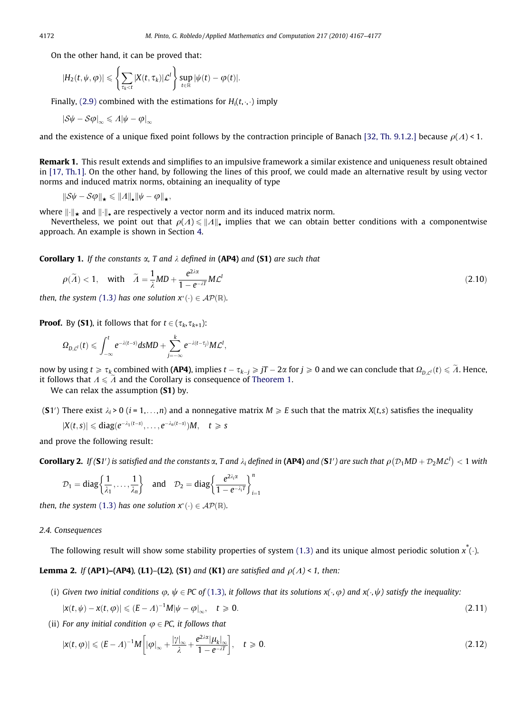<span id="page-5-0"></span>On the other hand, it can be proved that:

$$
|H_2(t,\psi,\varphi)|\leqslant \left\{\sum_{\tau_k
$$

Finally, [\(2.9\)](#page-4-0) combined with the estimations for  $H_i(t,\cdot,\cdot)$  imply

$$
|\mathcal{S}\psi - \mathcal{S}\varphi|_{\infty} \leq \Lambda |\psi - \varphi|_{\infty}
$$

and the existence of a unique fixed point follows by the contraction principle of Banach [\[32, Th. 9.1.2.\]](#page-10-0) because  $\rho(A) < 1$ .

Remark 1. This result extends and simplifies to an impulsive framework a similar existence and uniqueness result obtained in [\[17, Th.1\].](#page-10-0) On the other hand, by following the lines of this proof, we could made an alternative result by using vector norms and induced matrix norms, obtaining an inequality of type

$$
\|\mathcal{S}\psi-\mathcal{S}\varphi\|_{\star}\leqslant\|\varLambda\|_{\bullet}\|\psi-\varphi\|_{\star},
$$

where  $\|\cdot\|_{\star}$  and  $\|\cdot\|_{\star}$  are respectively a vector norm and its induced matrix norm.

Nevertheless, we point out that  $\rho(\Lambda) \le ||\Lambda||_2$  implies that we can obtain better conditions with a componentwise approach. An example is shown in Section 4.

**Corollary 1.** If the constants  $\alpha$ , T and  $\lambda$  defined in (AP4) and (S1) are such that

$$
\rho(\widetilde{A}) < 1, \quad \text{with} \quad \widetilde{A} = \frac{1}{\lambda}MD + \frac{e^{2\lambda \alpha}}{1 - e^{-\lambda T}}MC^{T}
$$
\n
$$
(2.10)
$$

then, the system ([1.3](#page-1-0)) has one solution  $x^*(\cdot) \in \mathcal{AP}(\mathbb{R})$ .

**Proof.** By (**S1**), it follows that for  $t \in (\tau_k, \tau_{k+1})$ :

$$
\Omega_{D,\mathcal{L}^l}(t) \leqslant \int_{-\infty}^t e^{-\lambda(t-s)}dsMD + \sum_{j=-\infty}^k e^{-\lambda(t-\tau_j)}M\mathcal{L}^l,
$$

now by using  $t\geqslant\tau_k$  combined with **(AP4)**, implies  $t-\tau_{k-j}\geqslant jT-2\alpha$  for  $j\geqslant 0$  and we can conclude that  $\Omega_{D,\mathcal{L}^l}(t)\leqslant\widetilde{A}$ . Hence, it follows that  $A \leq A$  and the Corollary is consequence of [Theorem 1.](#page-4-0)

We can relax the assumption (S1) by.

(S1') There exist  $\lambda_i$  > 0 (i = 1,...,n) and a nonnegative matrix  $M \ge E$  such that the matrix  $X(t,s)$  satisfies the inequality

$$
|X(t,s)| \leqslant diag(e^{-\lambda_1(t-s)},\ldots,e^{-\lambda_n(t-s)})M, \quad t \geqslant s
$$

and prove the following result:

**Corollary 2.** If (**S**1') is satisfied and the constants  $\alpha$ , T and  $\lambda_i$  defined in **(AP4)** and **(S**1') are such that  $\rho(\mathcal{D}_1 M D + \mathcal{D}_2 M \mathcal{L}^l) < 1$  with

$$
\mathcal{D}_1=diag\bigg\{\frac{1}{\lambda_1},\ldots,\frac{1}{\lambda_n}\bigg\}\quad\text{and}\quad \mathcal{D}_2=diag\bigg\{\frac{e^{2\lambda_i\alpha}}{1-e^{-\lambda_i T}}\bigg\}_{i=1}^n
$$

then, the system [\(1.3\)](#page-1-0) has one solution  $x^*(\cdot) \in \mathcal{AP}(\mathbb{R})$ .

#### 2.4. Consequences

The following result will show some stability properties of system [\(1.3\)](#page-1-0) and its unique almost periodic solution  $x^*(\cdot)$ .

**Lemma 2.** If (AP1)–(AP4), (L1)–(L2), (S1) and (K1) are satisfied and  $\rho(\Lambda)$  < 1, then:

(i) Given two initial conditions  $\varphi$ ,  $\psi \in PC$  of [\(1.3\),](#page-1-0) it follows that its solutions  $x(\cdot,\varphi)$  and  $x(\cdot,\psi)$  satisfy the inequality:

$$
|\mathbf{x}(t,\psi) - \mathbf{x}(t,\phi)| \leq (E - A)^{-1} M |\psi - \phi|_{\infty}, \quad t \geq 0.
$$
 (2.11)

(ii) For any initial condition  $\varphi \in PC$ , it follows that

$$
|x(t,\varphi)| \le (E-\Lambda)^{-1}M\bigg[|\varphi|_{\infty} + \frac{|\gamma|_{\infty}}{\lambda} + \frac{e^{2\lambda \alpha}|\mu_k|_{\infty}}{1 - e^{-\lambda T}}\bigg], \quad t \ge 0.
$$
\n(2.12)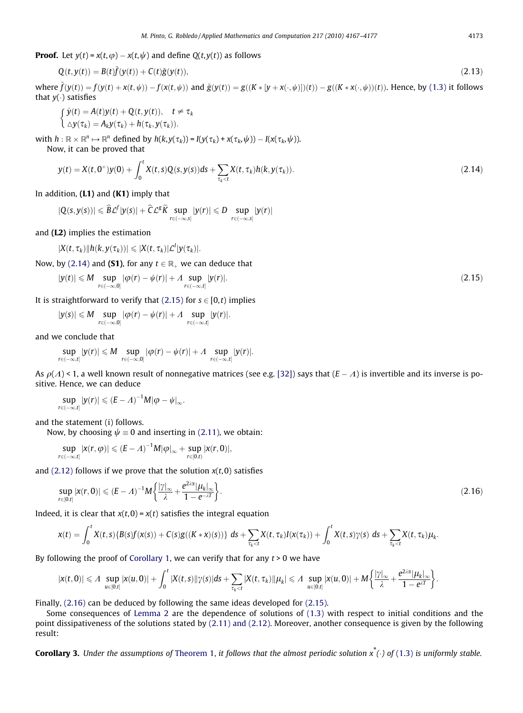<span id="page-6-0"></span>**Proof.** Let  $y(t) = x(t, \varphi) - x(t, \psi)$  and define  $Q(t, y(t))$  as follows

$$
Q(t, y(t)) = B(t)\tilde{f}(y(t)) + C(t)\tilde{g}(y(t)),
$$
\n(2.13)

where  $\tilde{f}(y(t)) = f(y(t) + x(t, \psi)) - f(x(t, \psi))$  and  $\tilde{g}(y(t)) = g((K * [y + x(\cdot, \psi)])(t)) - g((K * x(\cdot, \psi)))(t)$ ). Hence, by [\(1.3\)](#page-1-0) it follows that  $v(\cdot)$  satisfies

$$
\begin{cases}\n\dot{y}(t) = A(t)y(t) + Q(t, y(t)), & t \neq \tau_k \\
\Delta y(\tau_k) = A_k y(\tau_k) + h(\tau_k, y(\tau_k)).\n\end{cases}
$$

with  $h: \mathbb{R} \times \mathbb{R}^n \mapsto \mathbb{R}^n$  defined by  $h(k, y(\tau_k)) = I(y(\tau_k) + x(\tau_k, \psi)) - I(x(\tau_k, \psi)).$ 

Now, it can be proved that

$$
y(t) = X(t, 0^+)y(0) + \int_0^t X(t, s)Q(s, y(s))ds + \sum_{\tau_k < t} X(t, \tau_k)h(k, y(\tau_k)).
$$
\n(2.14)

In addition,  $(L1)$  and  $(K1)$  imply that

$$
|Q(s,y(s))| \leqslant \widehat{B}\mathcal{L}^f|y(s)| + \widehat{C}\mathcal{L}^g\widetilde{K}\sup_{r\in (-\infty,s]}|y(r)| \leqslant D\sup_{r\in (-\infty,s]}|y(r)|
$$

and (L2) implies the estimation

$$
|X(t,\tau_k)||h(k,y(\tau_k))| \leqslant |X(t,\tau_k)|\mathcal{L}^l|y(\tau_k)|.
$$

Now, by (2.14) and (S1), for any  $t \in \mathbb{R}_{+}$  we can deduce that

$$
|y(t)| \leqslant M \sup_{r \in (-\infty,0]} |\varphi(r) - \psi(r)| + \Lambda \sup_{r \in (-\infty,t]} |y(r)|. \tag{2.15}
$$

It is straightforward to verify that  $(2.15)$  for  $s \in [0,t)$  implies

$$
|y(s)|\leqslant M\sup_{r\in(-\infty,0]}|\varphi(r)-\psi(r)|+ \varLambda \sup_{r\in(-\infty,t]}|y(r)|.
$$

and we conclude that

$$
\sup_{r\in(-\infty,t]}|y(r)|\leqslant M\sup_{r\in(-\infty,0]}|\varphi(r)-\psi(r)|+ \varLambda \sup_{r\in(-\infty,t]}|y(r)|.
$$

As  $\rho(A)$  < 1, a well known result of nonnegative matrices (see e.g. [\[32\]](#page-10-0)) says that  $(E-A)$  is invertible and its inverse is positive. Hence, we can deduce

$$
\sup_{r\in(-\infty,t]}|y(r)|\leqslant (E-A)^{-1}M|\varphi-\psi|_{\infty}.
$$

and the statement (i) follows.

Now, by choosing  $\psi \equiv 0$  and inserting in [\(2.11\)](#page-5-0), we obtain:

$$
\sup_{r\in(-\infty,t]}|x(r,\varphi)|\leqslant (E-A)^{-1}M|\varphi|_{\infty}+\sup_{r\in[0,t)}|x(r,0)|,
$$

and [\(2.12\)](#page-5-0) follows if we prove that the solution  $x(t, 0)$  satisfies

$$
\sup_{r\in[0,t]}|x(r,0)|\leqslant (E-A)^{-1}M\bigg\{\frac{|\gamma|_{\infty}}{\lambda}+\frac{e^{2\lambda\alpha}|\mu_k|_{\infty}}{1-e^{-\lambda T}}\bigg\}.
$$
\n(2.16)

Indeed, it is clear that  $x(t, 0) = x(t)$  satisfies the integral equation

$$
x(t)=\int_0^t X(t,s)\{B(s)f(x(s))+C(s)g((K*x)(s))\} ds+\sum_{\tau_k
$$

By following the proof of [Corollary 1,](#page-5-0) we can verify that for any  $t > 0$  we have

$$
|x(t,0)|\leqslant A\sup_{u\in [0,t]}|x(u,0)|+\int_0^t|X(t,s)||\gamma(s)|ds+\sum_{\tau_k
$$

Finally, (2.16) can be deduced by following the same ideas developed for (2.15).

Some consequences of [Lemma 2](#page-5-0) are the dependence of solutions of [\(1.3\)](#page-1-0) with respect to initial conditions and the point dissipativeness of the solutions stated by [\(2.11\) and \(2.12\)](#page-5-0). Moreover, another consequence is given by the following result:

**Corollary 3.** Under the assumptions of [Theorem 1](#page-4-0), it follows that the almost periodic solution  $x^*(\cdot)$  of [\(1.3\)](#page-1-0) is uniformly stable.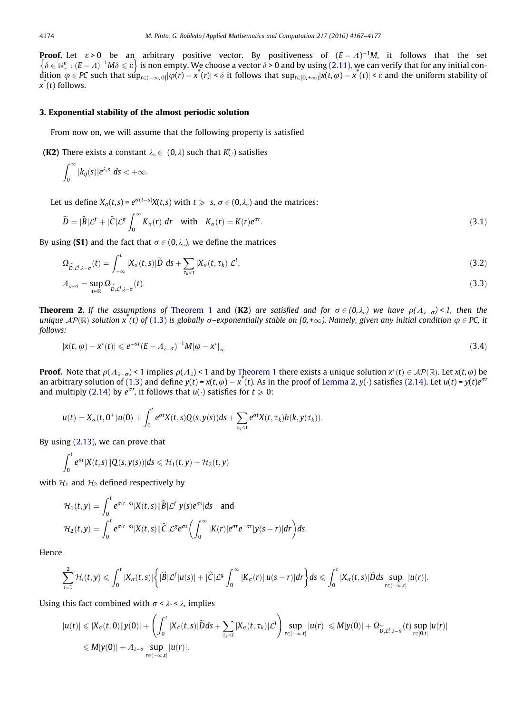<span id="page-7-0"></span>**Proof.** Let  $\varepsilon > 0$  be an arbitrary positive vector. By positiveness of  $(E - A)^{-1}M$ , it follows that the set **Proof.** Let  $\epsilon > 0$  be an arbitrary positive vector. By positiveness of  $(\epsilon - \lambda)$  M, it follows that the set  $\delta \in \mathbb{R}^n$ :  $(E - \lambda)^{-1}M\delta \leq \epsilon$  is non empty. We choose a vector  $\delta > 0$  and by using [\(2.11\),](#page-5-0) we can verify t dition  $\varphi \in PC$  such that  $\sup_{r \in (-\infty,0]} |\varphi(r) - x^*(r)| < \delta$  it follows that  $\sup_{t \in [0,+\infty)} |x(t,\varphi) - x^*(t)| < \varepsilon$  and the uniform stability of  $\hat{x}(t)$  follows.

#### 3. Exponential stability of the almost periodic solution

From now on, we will assume that the following property is satisfied

**(K2)** There exists a constant  $\lambda_0 \in (0, \lambda)$  such that  $K(\cdot)$  satisfies

$$
\int_0^\infty |k_{ij}(s)|e^{\lambda_s s} ds < +\infty.
$$

Let us define  $X_{\sigma}(t,s) = e^{\sigma(t-s)}X(t,s)$  with  $t \geq s$ ,  $\sigma \in (0,\lambda_{\circ})$  and the matrices:

$$
\widetilde{D} = |\widehat{B}| \mathcal{L}^f + |\widehat{C}| \mathcal{L}^g \int_0^\infty K_\sigma(r) \, dr \quad \text{with} \quad K_\sigma(r) = K(r) e^{\sigma r}.
$$
\n
$$
(3.1)
$$

By using (S1) and the fact that  $\sigma \in (0,\lambda)$ , we define the matrices

$$
\Omega_{\widetilde{D},\mathcal{L}^l,\lambda-\sigma}^{\sim}(t)=\int_{-\infty}^t |X_{\sigma}(t,s)|\widetilde{D} \;ds+\sum_{\tau_k
$$

$$
A_{\lambda-\sigma} = \sup_{t \in \mathbb{R}} \Omega_{\widetilde{D},\mathcal{L}^l,\lambda-\sigma}(t). \tag{3.3}
$$

**Theorem 2.** If the assumptions of [Theorem 1](#page-4-0) and (K2) are satisfied and for  $\sigma \in (0,\lambda_0)$  we have  $\rho(\Lambda_{\lambda-\sigma})$  < 1, then the unique  $AP(\mathbb{R})$  solution  $x(t)$  of [\(1.3\)](#page-1-0) is globally  $\sigma$ –exponentially stable on [0,+ $\infty$ ). Namely, given any initial condition  $\varphi \in PC$ , it follows:

$$
|x(t,\varphi)-x^*(t)|\leqslant e^{-\sigma t}(E-\Lambda_{\lambda-\sigma})^{-1}M|\varphi-x^*|_{\infty}
$$
\n(3.4)

**Proof.** Note that  $\rho(A_{\lambda-\sigma}) < 1$  implies  $\rho(A_{\lambda}) < 1$  and by [Theorem 1](#page-4-0) there exists a unique solution  $x^*(t) \in \mathcal{AP}(\mathbb{R})$ . Let  $x(t, \varphi)$  be an arbitrary solution of [\(1.3\)](#page-1-0) and define  $y(t) = x(t, \varphi) - x^*(t)$ . As in the proof of [Lemma 2](#page-5-0),  $y(\cdot)$  satisfies [\(2.14\).](#page-6-0) Let  $u(t) = y(t)e^{\sigma t}$ and multiply [\(2.14\)](#page-6-0) by  $e^{\sigma t}$ , it follows that  $u(\cdot)$  satisfies for  $t \ge 0$ :

$$
u(t)=X_\sigma(t,0^+)u(0)+\int_0^te^{\sigma t}X(t,s)Q(s,y(s))ds+\sum_{\tau_k
$$

By using [\(2.13\),](#page-6-0) we can prove that

$$
\int_0^t e^{\sigma t} |X(t,s)| |Q(s,y(s))| ds \leqslant \mathcal{H}_1(t,y) + \mathcal{H}_2(t,y)
$$

with  $H_1$  and  $H_2$  defined respectively by

$$
\mathcal{H}_1(t,y) = \int_0^t e^{\sigma(t-s)} |X(t,s)||\widehat{B}|\mathcal{L}^f|y(s)e^{\sigma s}|ds \text{ and}
$$
  

$$
\mathcal{H}_2(t,y) = \int_0^t e^{\sigma(t-s)} |X(t,s)||\widehat{C}|\mathcal{L}^g e^{\sigma s} \left(\int_0^\infty |K(r)|e^{\sigma r}e^{-\sigma r}|y(s-r)|dr\right)ds.
$$

Hence

$$
\sum_{i=1}^2 \mathcal{H}_i(t,y) \leqslant \int_0^t |X_\sigma(t,s)| \bigg\{ |\widehat{B}| \mathcal{L}^f| u(s) | + |\widehat{C}| \mathcal{L}^g \int_0^\infty |K_\sigma(r)| |u(s-r)| dr \bigg\} ds \leqslant \int_0^t |X_\sigma(t,s)| \widetilde{D} ds \sup_{r \in (-\infty,t]} |u(r)| .
$$

Using this fact combined with  $\sigma < \lambda$  <  $\lambda$ , implies

$$
|u(t)| \leq |X_{\sigma}(t,0)||y(0)| + \left(\int_0^t |X_{\sigma}(t,s)|\widetilde{D}ds + \sum_{\tau_k < t} |X_{\sigma}(t,\tau_k)|\mathcal{L}^I\right) \sup_{r \in (-\infty,t]} |u(r)| \leq M|y(0)| + \Omega_{\widetilde{D},\mathcal{L}^I,\lambda-\sigma}^{\sim}(t) \sup_{r \in [0,t]} |u(r)|
$$
  

$$
\leq M|y(0)| + \Lambda_{\lambda-\sigma} \sup_{r \in (-\infty,t]} |u(r)|.
$$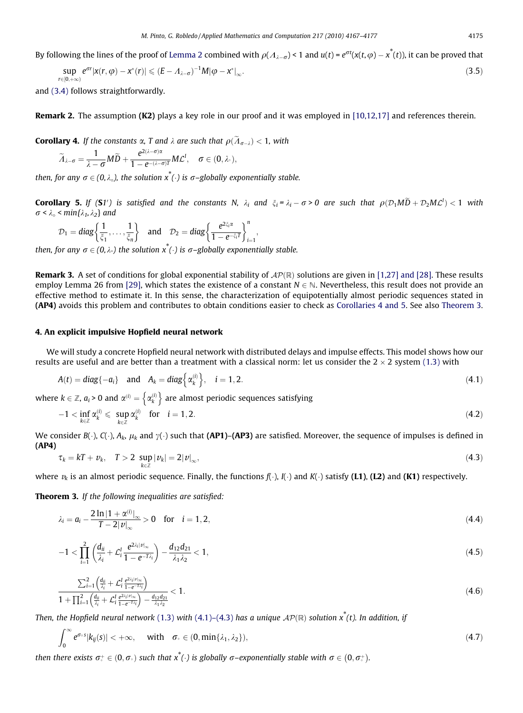<span id="page-8-0"></span>By following the lines of the proof of [Lemma 2](#page-5-0) combined with  $\rho(A_{\lambda-\sigma})$  < 1 and  $u(t)$  =  $e^{\sigma t}(x(t,\phi)-x^*(t))$ , it can be proved that

$$
\sup_{r\in[0,+\infty)}e^{\sigma r}|x(r,\varphi)-x^*(r)|\leqslant (E-A_{\lambda-\sigma})^{-1}M|\varphi-x^*|_{\infty}.
$$
\n(3.5)

and [\(3.4\)](#page-7-0) follows straightforwardly.

Remark 2. The assumption (K2) plays a key role in our proof and it was employed in [\[10,12,17\]](#page-10-0) and references therein.

**Corollary 4.** If the constants  $\alpha$ , T and  $\lambda$  are such that  $\rho(\tilde{A}_{\sigma-\lambda})$  < 1, with

$$
\widetilde{\Lambda}_{\lambda-\sigma}=\frac{1}{\lambda-\sigma}M\widetilde{D}+\frac{e^{2(\lambda-\sigma)\alpha}}{1-e^{-(\lambda-\sigma)T}}ML^!,\quad \sigma\in(0,\lambda_\circ),
$$

then, for any  $\sigma \in (0,\lambda_0)$ , the solution  $x^*(\cdot)$  is  $\sigma$ –globally exponentially stable.

**Corollary 5.** If (S1') is satisfied and the constants N,  $\lambda_i$  and  $\xi_i = \lambda_i - \sigma > 0$  are such that  $\rho(\mathcal{D}_1 M \bar{D} + \mathcal{D}_2 M \mathcal{L}^l) < 1$  with  $\sigma < \lambda_{\circ} < min\{\lambda_1, \lambda_2\}$  and

$$
\mathcal{D}_1 = diag\left\{\frac{1}{\xi_1}, \ldots, \frac{1}{\xi_n}\right\} \quad \text{and} \quad \mathcal{D}_2 = diag\left\{\frac{e^{2\xi_1\alpha}}{1 - e^{-\xi_1T}}\right\}_{i=1}^n,
$$

then, for any  $\sigma \in (0,\lambda)$  the solution  $x^*(\cdot)$  is  $\sigma$ –globally exponentially stable.

**Remark 3.** A set of conditions for global exponential stability of  $AP(\mathbb{R})$  solutions are given in [\[1,27\] and \[28\]](#page-10-0). These results employ Lemma 26 from [\[29\],](#page-10-0) which states the existence of a constant  $N \in \mathbb{N}$ . Nevertheless, this result does not provide an effective method to estimate it. In this sense, the characterization of equipotentially almost periodic sequences stated in (AP4) avoids this problem and contributes to obtain conditions easier to check as Corollaries 4 and 5. See also Theorem 3.

#### 4. An explicit impulsive Hopfield neural network

We will study a concrete Hopfield neural network with distributed delays and impulse effects. This model shows how our results are useful and are better than a treatment with a classical norm: let us consider the  $2 \times 2$  system [\(1.3\)](#page-1-0) with

$$
A(t) = diag\{-a_i\} \quad \text{and} \quad A_k = diag\left\{\alpha_k^{(i)}\right\}, \quad i = 1, 2. \tag{4.1}
$$

where  $k\in \mathbb{Z}$ ,  $a_i$  > 0 and  $\alpha^{(i)} = \left\{\alpha_k^{(i)}\right\}$  are almost periodic sequences satisfying

$$
-1 < \inf_{k \in \mathbb{Z}} \alpha_k^{(i)} \leqslant \sup_{k \in \mathbb{Z}} \alpha_k^{(i)} \quad \text{for} \quad i = 1, 2. \tag{4.2}
$$

We consider  $B(\cdot)$ ,  $C(\cdot)$ ,  $A_k$ ,  $\mu_k$  and  $\gamma(\cdot)$  such that (AP1)–(AP3) are satisfied. Moreover, the sequence of impulses is defined in (AP4)

$$
\tau_k = kT + \nu_k, \quad T > 2 \sup_{k \in \mathbb{Z}} |\nu_k| = 2|\nu|_{\infty}, \tag{4.3}
$$

where  $v_k$  is an almost periodic sequence. Finally, the functions  $f(\cdot)$ ,  $I(\cdot)$  and  $K(\cdot)$  satisfy (L1), (L2) and (K1) respectively.

Theorem 3. If the following inequalities are satisfied:

$$
\lambda_i = a_i - \frac{2 \ln |1 + \alpha^{(i)}|_{\infty}}{T - 2|\nu|_{\infty}} > 0 \quad \text{for} \quad i = 1, 2,
$$
\n(4.4)

$$
-1 < \prod_{i=1}^{2} \left( \frac{d_{ii}}{\lambda_i} + \mathcal{L}_i^l \frac{e^{2\lambda_i |v|_{\infty}}}{1 - e^{-T\lambda_i}} \right) - \frac{d_{12}d_{21}}{\lambda_1 \lambda_2} < 1,
$$
\n
$$
(4.5)
$$

$$
\frac{\sum_{i=1}^{2} \left( \frac{d_{ii}}{\lambda_i} + \mathcal{L}_i^l \frac{e^{2\lambda_i |v|_{\infty}}}{1 - e^{-T\lambda_i}} \right)}{1 + \prod_{i=1}^{2} \left( \frac{d_{ii}}{\lambda_i} + \mathcal{L}_i^l \frac{e^{2\lambda_i |v|_{\infty}}}{1 - e^{-T\lambda_i}} \right) - \frac{d_{12}d_{21}}{\lambda_1 \lambda_2}} < 1. \tag{4.6}
$$

Then, the Hopfield neural network [\(1.3\)](#page-1-0) with (4.1)–(4.3) has a unique  $AP(\mathbb{R})$  solution  $x^*(t)$ . In addition, if

$$
\int_0^\infty e^{\sigma \circ s} |k_{ij}(s)| < +\infty, \quad \text{ with } \quad \sigma \circ \in (0, \min\{\lambda_1, \lambda_2\}), \tag{4.7}
$$

then there exists  $\sigma_{\circ}^+ \in (0,\sigma_{\circ})$  such that  $x^*(\cdot)$  is globally  $\sigma$ –exponentially stable with  $\sigma \in (0,\sigma_{\circ}^+)$ .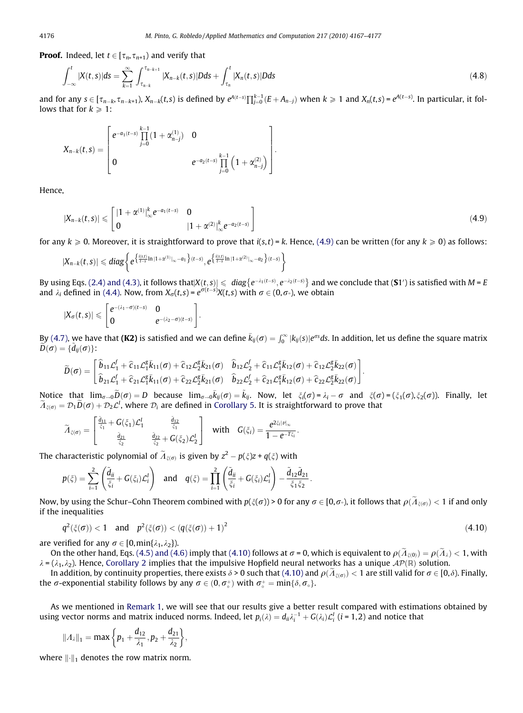**Proof.** Indeed, let  $t \in [\tau_n, \tau_{n+1})$  and verify that

$$
\int_{-\infty}^{t} |X(t,s)|ds = \sum_{k=1}^{\infty} \int_{\tau_{n-k}}^{\tau_{n-k+1}} |X_{n-k}(t,s)|Dds + \int_{\tau_n}^{t} |X_n(t,s)|Dds \tag{4.8}
$$

and for any  $s\in [\tau_{n-k},\tau_{n-k+1})$ ,  $X_{n-k}(t,s)$  is defined by  $e^{A(t-s)}\prod_{j=0}^{k-1}(E+A_{n-j})$  when  $k\geqslant 1$  and  $X_n(t,s)=e^{A(t-s)}$ . In particular, it follows that for  $k \geq 1$ :

$$
X_{n-k}(t,s) = \begin{bmatrix} e^{-a_1(t-s)} \prod_{j=0}^{k-1} (1 + \alpha_{n-j}^{(1)}) & 0 \\ 0 & e^{-a_2(t-s)} \prod_{j=0}^{k-1} (1 + \alpha_{n-j}^{(2)}) \end{bmatrix}.
$$

Hence,

$$
|X_{n-k}(t,s)| \leqslant \begin{bmatrix} |1+\alpha^{(1)}|_{\infty}^{k} e^{-a_1(t-s)} & 0 \\ 0 & |1+\alpha^{(2)}|_{\infty}^{k} e^{-a_2(t-s)} \end{bmatrix}
$$
(4.9)

for any  $k \ge 0$ . Moreover, it is straightforward to prove that  $i(s,t) = k$ . Hence, (4.9) can be written (for any  $k \ge 0$ ) as follows:

$$
|X_{n-k}(t,s)| \leqslant diag\bigg\{ e^{\big\{ \frac{i(s,t)}{t-s} \ln |1+\alpha^{(1)}|_\infty - a_1 \big\} (t-s)}, e^{\big\{ \frac{i(s,t)}{t-s} \ln |1+\alpha^{(2)}|_\infty - a_2 \big\} (t-s)} \bigg\}
$$

By using Eqs. [\(2.4\) and \(4.3\)](#page-4-0), it follows that  $|X(t,s)| \leqslant diag\{e^{-\lambda_1(t-s)}, e^{-\lambda_2(t-s)}\}$  and we conclude that (**S**1') is satisfied with M = E and  $\lambda_i$  defined in [\(4.4\).](#page-8-0) Now, from  $X_{\sigma}(t,s) = e^{\sigma(t-s)}X(t,s)$  with  $\sigma \in (0,\sigma)$ , we obtain

$$
|X_\sigma(t,s)|\leqslant \begin{bmatrix} e^{-(\lambda_1-\sigma)(t-s)} & 0 \\ 0 & e^{-(\lambda_2-\sigma)(t-s)} \end{bmatrix}
$$

By [\(4.7\)](#page-8-0), we have that **(K2)** is satisfied and we can define  $\bar{k}_{ij}(\sigma)=\int_0^\infty |k_{ij}(s)|e^{\sigma s}ds.$  In addition, let us define the square matrix  $\widetilde{D}(\sigma)=\{\widetilde{d}_{ij}(\sigma)\}.$ 

$$
\widetilde{D}(\sigma)=\begin{bmatrix} \widehat{b}_{11}\mathcal{L}_{1}^f + \widehat{c}_{11}\mathcal{L}_{1}^g\bar{k}_{11}(\sigma) + \widehat{c}_{12}\mathcal{L}_{2}^g\bar{k}_{21}(\sigma) & \widehat{b}_{12}\mathcal{L}_{2}^f + \widehat{c}_{11}\mathcal{L}_{1}^g\bar{k}_{12}(\sigma) + \widehat{c}_{12}\mathcal{L}_{2}^g\bar{k}_{22}(\sigma) \\ \widehat{b}_{21}\mathcal{L}_{1}^f + \widehat{c}_{21}\mathcal{L}_{1}^g\bar{k}_{11}(\sigma) + \widehat{c}_{22}\mathcal{L}_{2}^g\bar{k}_{21}(\sigma) & \widehat{b}_{22}\mathcal{L}_{2}^f + \widehat{c}_{21}\mathcal{L}_{1}^g\bar{k}_{12}(\sigma) + \widehat{c}_{22}\mathcal{L}_{2}^g\bar{k}_{22}(\sigma) \end{bmatrix}.
$$

:

Notice that  $\lim_{\sigma\to 0} \widetilde{D}(\sigma) = D$  because  $\lim_{\sigma\to 0} \overline{k}_{ij}(\sigma) = \tilde{k}_{ij}$ . Now, let  $\xi_i(\sigma) = \lambda_i - \sigma$  and  $\xi(\sigma) = (\xi_1(\sigma), \xi_2(\sigma))$ . Finally, let  $\widetilde A_{\xi(\sigma)}={\cal D}_1\widetilde D(\sigma)+{\cal D}_2{\cal L}^l,$  where  ${\cal D}_i$  are defined in [Corollary 5.](#page-8-0) It is straightforward to prove that

$$
\widetilde{\varLambda}_{\xi(\sigma)}=\begin{bmatrix}\frac{\tilde{d}_{11}}{\xi_1}+G(\xi_1){\cal L}_1^I&\frac{\tilde{d}_{12}}{\xi_1}\\ \frac{\tilde{d}_{21}}{\xi_2}&\frac{\tilde{d}_{22}}{\xi_2}+G(\xi_2){\cal L}_2^I\end{bmatrix}\quad\text{with}\quad G(\xi_i)=\frac{e^{2\xi_i|\mathbf{z}|_\infty}}{1-e^{-T\xi_i}}.
$$

The characteristic polynomial of  $\widetilde{A}_{\xi(\sigma)}$  is given by  $z^2 - p(\xi)z + q(\xi)$  with

$$
p(\xi) = \sum_{i=1}^2 \left( \frac{\tilde{d}_{ii}}{\xi_i} + G(\xi_i) \mathcal{L}_i^I \right) \quad \text{and} \quad q(\xi) = \prod_{i=1}^2 \left( \frac{\tilde{d}_{ii}}{\xi_i} + G(\xi_i) \mathcal{L}_i^I \right) - \frac{\tilde{d}_{12} \tilde{d}_{21}}{\xi_1 \xi_2}.
$$

Now, by using the Schur–Cohn Theorem combined with  $p(\xi(\sigma))$  > 0 for any  $\sigma \in [0,\sigma)$ , it follows that  $\rho(\widetilde{A}_{\xi(\sigma)}) < 1$  if and only if the inequalities

$$
q^2(\xi(\sigma)) < 1 \quad \text{and} \quad p^2(\xi(\sigma)) < (q(\xi(\sigma)) + 1)^2 \tag{4.10}
$$

are verified for any  $\sigma \in [0, \min\{\lambda_1, \lambda_2\}].$ 

On the other hand, Eqs. [\(4.5\) and \(4.6\)](#page-8-0) imply that (4.10) follows at  $\sigma = 0$ , which is equivalent to  $\rho(\tilde{\Lambda}_{\varepsilon(0)}) = \rho(\tilde{\Lambda}_i) < 1$ , with  $\lambda = (\lambda_1, \lambda_2)$ . Hence, [Corollary 2](#page-5-0) implies that the impulsive Hopfield neural networks has a unique  $\mathcal{AP}(\mathbb{R})$  solution.

In addition, by continuity properties, there exists  $\delta$  > 0 such that (4.10) and  $\rho(\tilde{A}_{\xi(\sigma)})$  < 1 are still valid for  $\sigma \in [0,\delta)$ . Finally, the  $\sigma$ -exponential stability follows by any  $\sigma \in (0, \sigma_{\circ}^{+})$  with  $\sigma_{\circ}^{+} = \min\{\delta, \sigma_{\circ}\}.$ 

As we mentioned in [Remark 1](#page-5-0), we will see that our results give a better result compared with estimations obtained by using vector norms and matrix induced norms. Indeed, let  $p_i(\lambda)=d_{ii}\lambda_i^{-1}+G(\lambda_i)L_i^I$  (i = 1,2) and notice that

$$
||A_{\lambda}||_1 = \max\bigg\{p_1 + \frac{d_{12}}{\lambda_1}, p_2 + \frac{d_{21}}{\lambda_2}\bigg\},\,
$$

where  $\|\cdot\|_1$  denotes the row matrix norm.